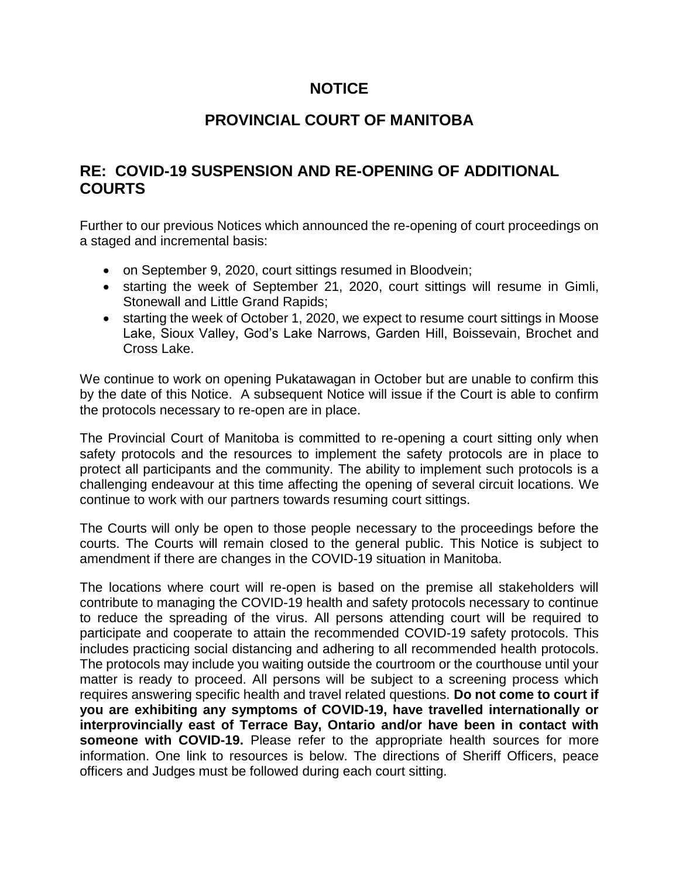## **NOTICE**

# **PROVINCIAL COURT OF MANITOBA**

## **RE: COVID-19 SUSPENSION AND RE-OPENING OF ADDITIONAL COURTS**

Further to our previous Notices which announced the re-opening of court proceedings on a staged and incremental basis:

- on September 9, 2020, court sittings resumed in Bloodvein;
- starting the week of September 21, 2020, court sittings will resume in Gimli, Stonewall and Little Grand Rapids;
- starting the week of October 1, 2020, we expect to resume court sittings in Moose Lake, Sioux Valley, God's Lake Narrows, Garden Hill, Boissevain, Brochet and Cross Lake.

We continue to work on opening Pukatawagan in October but are unable to confirm this by the date of this Notice. A subsequent Notice will issue if the Court is able to confirm the protocols necessary to re-open are in place.

The Provincial Court of Manitoba is committed to re-opening a court sitting only when safety protocols and the resources to implement the safety protocols are in place to protect all participants and the community. The ability to implement such protocols is a challenging endeavour at this time affecting the opening of several circuit locations. We continue to work with our partners towards resuming court sittings.

The Courts will only be open to those people necessary to the proceedings before the courts. The Courts will remain closed to the general public. This Notice is subject to amendment if there are changes in the COVID-19 situation in Manitoba.

The locations where court will re-open is based on the premise all stakeholders will contribute to managing the COVID-19 health and safety protocols necessary to continue to reduce the spreading of the virus. All persons attending court will be required to participate and cooperate to attain the recommended COVID-19 safety protocols. This includes practicing social distancing and adhering to all recommended health protocols. The protocols may include you waiting outside the courtroom or the courthouse until your matter is ready to proceed. All persons will be subject to a screening process which requires answering specific health and travel related questions. **Do not come to court if you are exhibiting any symptoms of COVID-19, have travelled internationally or interprovincially east of Terrace Bay, Ontario and/or have been in contact with someone with COVID-19.** Please refer to the appropriate health sources for more information. One link to resources is below. The directions of Sheriff Officers, peace officers and Judges must be followed during each court sitting.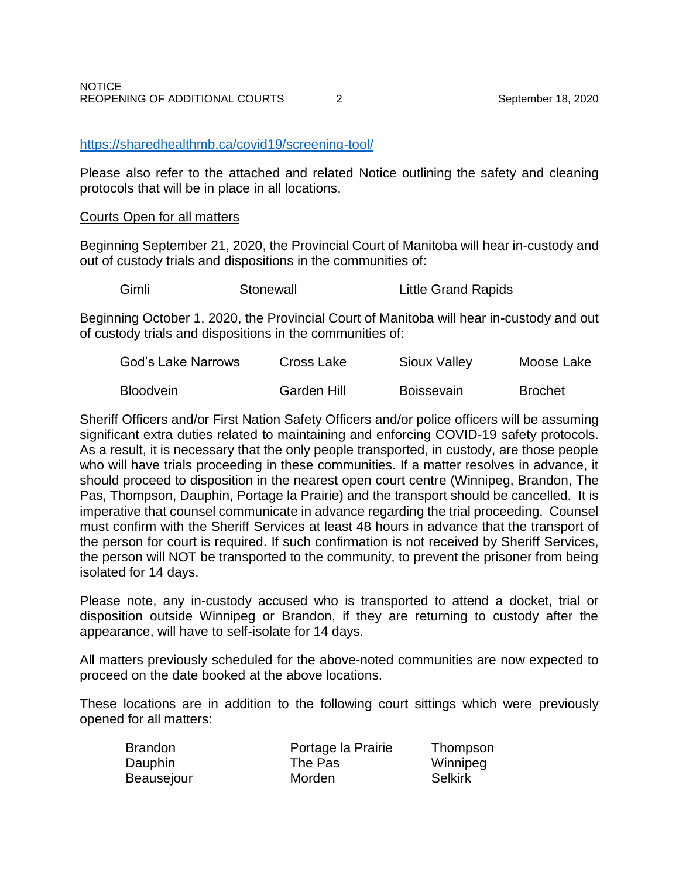#### <https://sharedhealthmb.ca/covid19/screening-tool/>

Please also refer to the attached and related Notice outlining the safety and cleaning protocols that will be in place in all locations.

#### Courts Open for all matters

Beginning September 21, 2020, the Provincial Court of Manitoba will hear in-custody and out of custody trials and dispositions in the communities of:

| Gimli<br>Stonewall | <b>Little Grand Rapids</b> |
|--------------------|----------------------------|
|--------------------|----------------------------|

Beginning October 1, 2020, the Provincial Court of Manitoba will hear in-custody and out of custody trials and dispositions in the communities of:

| <b>God's Lake Narrows</b> | Cross Lake  | <b>Sioux Valley</b> | Moose Lake     |
|---------------------------|-------------|---------------------|----------------|
| <b>Bloodvein</b>          | Garden Hill | <b>Boissevain</b>   | <b>Brochet</b> |

Sheriff Officers and/or First Nation Safety Officers and/or police officers will be assuming significant extra duties related to maintaining and enforcing COVID-19 safety protocols. As a result, it is necessary that the only people transported, in custody, are those people who will have trials proceeding in these communities. If a matter resolves in advance, it should proceed to disposition in the nearest open court centre (Winnipeg, Brandon, The Pas, Thompson, Dauphin, Portage la Prairie) and the transport should be cancelled. It is imperative that counsel communicate in advance regarding the trial proceeding. Counsel must confirm with the Sheriff Services at least 48 hours in advance that the transport of the person for court is required. If such confirmation is not received by Sheriff Services, the person will NOT be transported to the community, to prevent the prisoner from being isolated for 14 days.

Please note, any in-custody accused who is transported to attend a docket, trial or disposition outside Winnipeg or Brandon, if they are returning to custody after the appearance, will have to self-isolate for 14 days.

All matters previously scheduled for the above-noted communities are now expected to proceed on the date booked at the above locations.

These locations are in addition to the following court sittings which were previously opened for all matters:

| <b>Brandon</b>    | Portage la Prairie | Thompson       |
|-------------------|--------------------|----------------|
| Dauphin           | The Pas            | Winnipeg       |
| <b>Beausejour</b> | Morden             | <b>Selkirk</b> |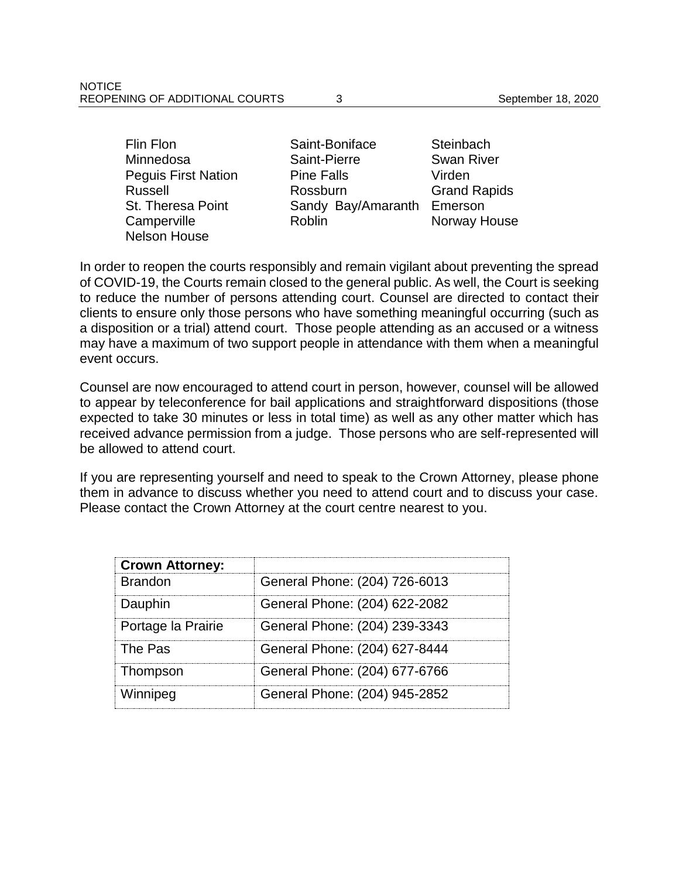Flin Flon Minnedosa Peguis First Nation Russell St. Theresa Point **Camperville** Nelson House

Saint-Boniface Saint-Pierre Pine Falls Rossburn Sandy Bay/Amaranth Emerson Roblin

**Steinbach** Swan River Virden Grand Rapids Norway House

In order to reopen the courts responsibly and remain vigilant about preventing the spread of COVID-19, the Courts remain closed to the general public. As well, the Court is seeking to reduce the number of persons attending court. Counsel are directed to contact their clients to ensure only those persons who have something meaningful occurring (such as a disposition or a trial) attend court. Those people attending as an accused or a witness may have a maximum of two support people in attendance with them when a meaningful event occurs.

Counsel are now encouraged to attend court in person, however, counsel will be allowed to appear by teleconference for bail applications and straightforward dispositions (those expected to take 30 minutes or less in total time) as well as any other matter which has received advance permission from a judge. Those persons who are self-represented will be allowed to attend court.

If you are representing yourself and need to speak to the Crown Attorney, please phone them in advance to discuss whether you need to attend court and to discuss your case. Please contact the Crown Attorney at the court centre nearest to you.

| <b>Crown Attorney:</b> |                               |
|------------------------|-------------------------------|
| <b>Brandon</b>         | General Phone: (204) 726-6013 |
| Dauphin                | General Phone: (204) 622-2082 |
| Portage la Prairie     | General Phone: (204) 239-3343 |
| The Pas                | General Phone: (204) 627-8444 |
| Thompson               | General Phone: (204) 677-6766 |
| Winnipeg               | General Phone: (204) 945-2852 |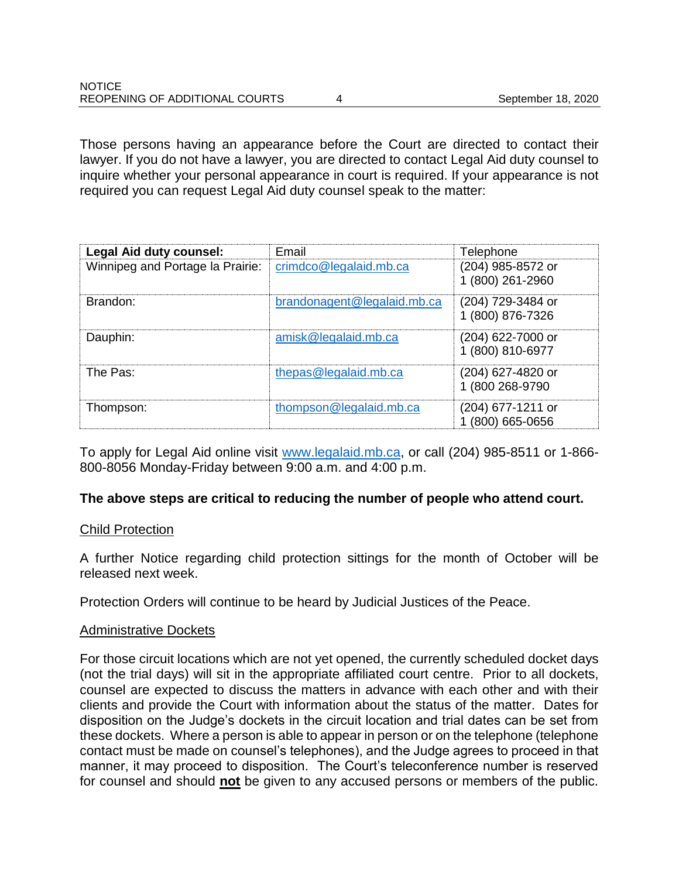Those persons having an appearance before the Court are directed to contact their lawyer. If you do not have a lawyer, you are directed to contact Legal Aid duty counsel to inquire whether your personal appearance in court is required. If your appearance is not required you can request Legal Aid duty counsel speak to the matter:

| <b>Legal Aid duty counsel:</b>   | Email                       | Telephone                             |
|----------------------------------|-----------------------------|---------------------------------------|
| Winnipeg and Portage la Prairie: | crimdco@legalaid.mb.ca      | (204) 985-8572 or<br>1 (800) 261-2960 |
| Brandon:                         | brandonagent@legalaid.mb.ca | (204) 729-3484 or<br>1 (800) 876-7326 |
| Dauphin:                         | amisk@legalaid.mb.ca        | (204) 622-7000 or<br>1 (800) 810-6977 |
| The Pas:                         | thepas@legalaid.mb.ca       | (204) 627-4820 or<br>1 (800 268-9790  |
| Thompson:                        | thompson@legalaid.mb.ca     | (204) 677-1211 or<br>(800) 665-0656   |

To apply for Legal Aid online visit [www.legalaid.mb.ca,](http://www.legalaid.mb.ca/) or call (204) 985-8511 or 1-866- 800-8056 Monday-Friday between 9:00 a.m. and 4:00 p.m.

### **The above steps are critical to reducing the number of people who attend court.**

#### Child Protection

A further Notice regarding child protection sittings for the month of October will be released next week.

Protection Orders will continue to be heard by Judicial Justices of the Peace.

#### Administrative Dockets

For those circuit locations which are not yet opened, the currently scheduled docket days (not the trial days) will sit in the appropriate affiliated court centre. Prior to all dockets, counsel are expected to discuss the matters in advance with each other and with their clients and provide the Court with information about the status of the matter. Dates for disposition on the Judge's dockets in the circuit location and trial dates can be set from these dockets. Where a person is able to appear in person or on the telephone (telephone contact must be made on counsel's telephones), and the Judge agrees to proceed in that manner, it may proceed to disposition. The Court's teleconference number is reserved for counsel and should **not** be given to any accused persons or members of the public.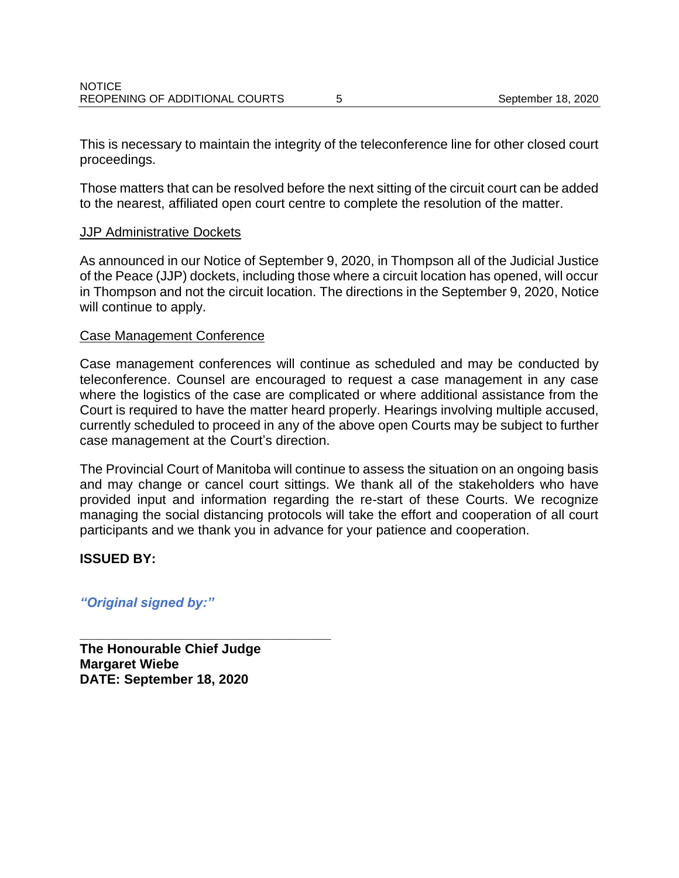This is necessary to maintain the integrity of the teleconference line for other closed court proceedings.

Those matters that can be resolved before the next sitting of the circuit court can be added to the nearest, affiliated open court centre to complete the resolution of the matter.

#### JJP Administrative Dockets

As announced in our Notice of September 9, 2020, in Thompson all of the Judicial Justice of the Peace (JJP) dockets, including those where a circuit location has opened, will occur in Thompson and not the circuit location. The directions in the September 9, 2020, Notice will continue to apply.

#### Case Management Conference

Case management conferences will continue as scheduled and may be conducted by teleconference. Counsel are encouraged to request a case management in any case where the logistics of the case are complicated or where additional assistance from the Court is required to have the matter heard properly. Hearings involving multiple accused, currently scheduled to proceed in any of the above open Courts may be subject to further case management at the Court's direction.

The Provincial Court of Manitoba will continue to assess the situation on an ongoing basis and may change or cancel court sittings. We thank all of the stakeholders who have provided input and information regarding the re-start of these Courts. We recognize managing the social distancing protocols will take the effort and cooperation of all court participants and we thank you in advance for your patience and cooperation.

#### **ISSUED BY:**

### *"Original signed by:"*

**The Honourable Chief Judge Margaret Wiebe DATE: September 18, 2020**

**\_\_\_\_\_\_\_\_\_\_\_\_\_\_\_\_\_\_\_\_\_\_\_\_\_\_\_\_\_\_\_\_\_\_**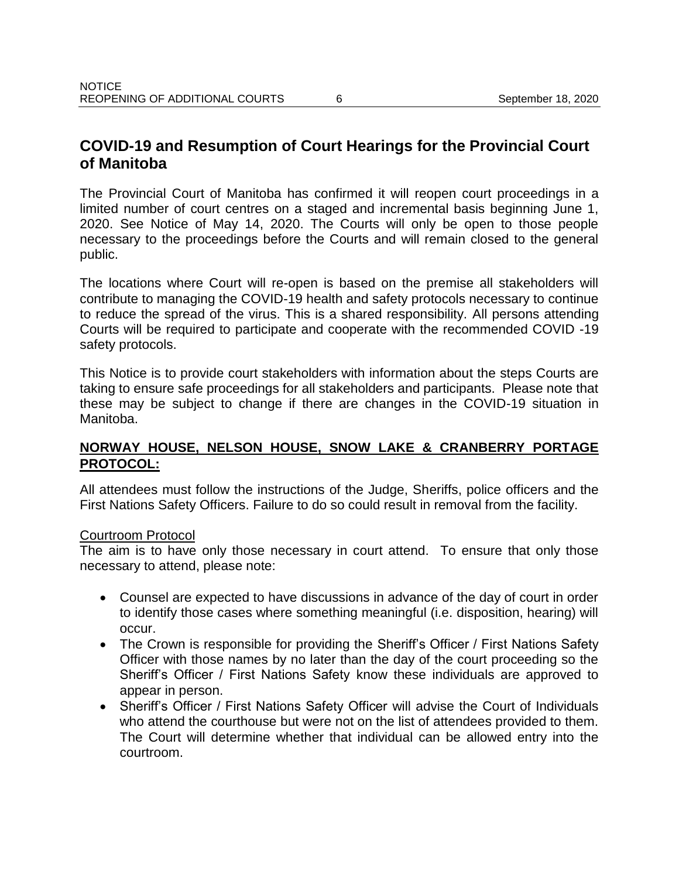## **COVID-19 and Resumption of Court Hearings for the Provincial Court of Manitoba**

The Provincial Court of Manitoba has confirmed it will reopen court proceedings in a limited number of court centres on a staged and incremental basis beginning June 1, 2020. See Notice of May 14, 2020. The Courts will only be open to those people necessary to the proceedings before the Courts and will remain closed to the general public.

The locations where Court will re-open is based on the premise all stakeholders will contribute to managing the COVID-19 health and safety protocols necessary to continue to reduce the spread of the virus. This is a shared responsibility. All persons attending Courts will be required to participate and cooperate with the recommended COVID -19 safety protocols.

This Notice is to provide court stakeholders with information about the steps Courts are taking to ensure safe proceedings for all stakeholders and participants. Please note that these may be subject to change if there are changes in the COVID-19 situation in Manitoba.

### **NORWAY HOUSE, NELSON HOUSE, SNOW LAKE & CRANBERRY PORTAGE PROTOCOL:**

All attendees must follow the instructions of the Judge, Sheriffs, police officers and the First Nations Safety Officers. Failure to do so could result in removal from the facility.

### Courtroom Protocol

The aim is to have only those necessary in court attend. To ensure that only those necessary to attend, please note:

- Counsel are expected to have discussions in advance of the day of court in order to identify those cases where something meaningful (i.e. disposition, hearing) will occur.
- The Crown is responsible for providing the Sheriff's Officer / First Nations Safety Officer with those names by no later than the day of the court proceeding so the Sheriff's Officer / First Nations Safety know these individuals are approved to appear in person.
- Sheriff's Officer / First Nations Safety Officer will advise the Court of Individuals who attend the courthouse but were not on the list of attendees provided to them. The Court will determine whether that individual can be allowed entry into the courtroom.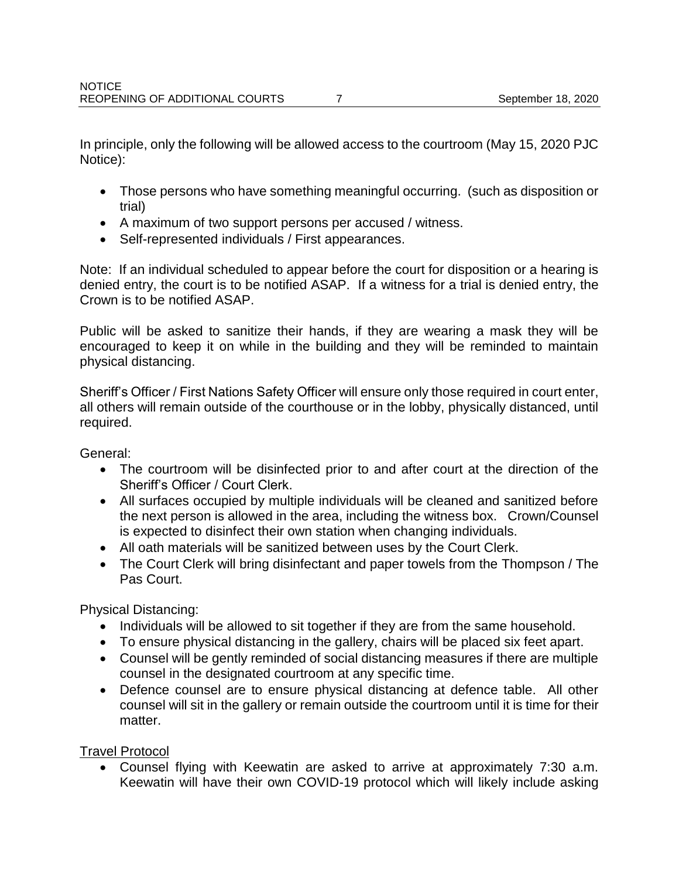In principle, only the following will be allowed access to the courtroom (May 15, 2020 PJC Notice):

- Those persons who have something meaningful occurring. (such as disposition or trial)
- A maximum of two support persons per accused / witness.
- Self-represented individuals / First appearances.

Note: If an individual scheduled to appear before the court for disposition or a hearing is denied entry, the court is to be notified ASAP. If a witness for a trial is denied entry, the Crown is to be notified ASAP.

Public will be asked to sanitize their hands, if they are wearing a mask they will be encouraged to keep it on while in the building and they will be reminded to maintain physical distancing.

Sheriff's Officer / First Nations Safety Officer will ensure only those required in court enter, all others will remain outside of the courthouse or in the lobby, physically distanced, until required.

General:

- The courtroom will be disinfected prior to and after court at the direction of the Sheriff's Officer / Court Clerk.
- All surfaces occupied by multiple individuals will be cleaned and sanitized before the next person is allowed in the area, including the witness box. Crown/Counsel is expected to disinfect their own station when changing individuals.
- All oath materials will be sanitized between uses by the Court Clerk.
- The Court Clerk will bring disinfectant and paper towels from the Thompson / The Pas Court.

Physical Distancing:

- Individuals will be allowed to sit together if they are from the same household.
- To ensure physical distancing in the gallery, chairs will be placed six feet apart.
- Counsel will be gently reminded of social distancing measures if there are multiple counsel in the designated courtroom at any specific time.
- Defence counsel are to ensure physical distancing at defence table. All other counsel will sit in the gallery or remain outside the courtroom until it is time for their matter.

Travel Protocol

 Counsel flying with Keewatin are asked to arrive at approximately 7:30 a.m. Keewatin will have their own COVID-19 protocol which will likely include asking